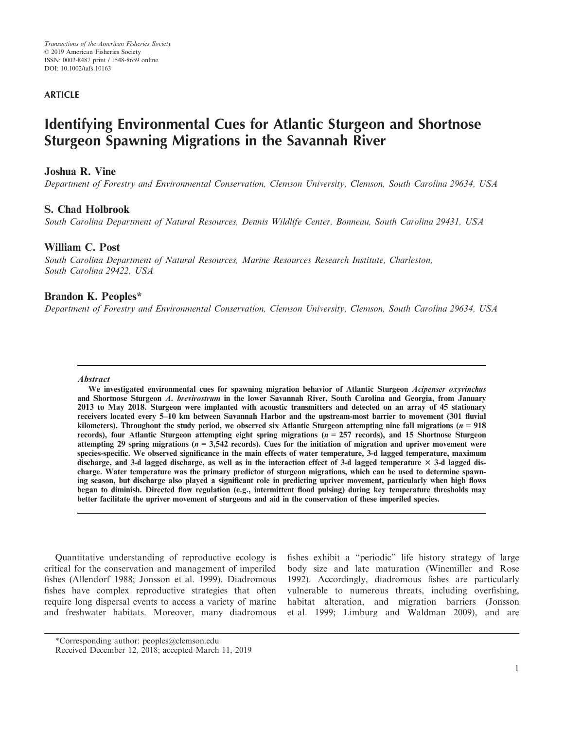## **ARTICLE**

# **Identifying Environmental Cues for Atlantic Sturgeon and Shortnose Sturgeon Spawning Migrations in the Savannah River**

## **Joshua R. Vine**

*Department of Forestry and Environmental Conservation, Clemson University, Clemson, South Carolina 29634, USA*

## **S. Chad Holbrook**

*South Carolina Department of Natural Resources, Dennis Wildlife Center, Bonneau, South Carolina 29431, USA*

## **William C. Post**

*South Carolina Department of Natural Resources, Marine Resources Research Institute, Charleston, South Carolina 29422, USA*

## **Brandon K. Peoples\***

*Department of Forestry and Environmental Conservation, Clemson University, Clemson, South Carolina 29634, USA*

### **Abstract**

**We investigated environmental cues for spawning migration behavior of Atlantic Sturgeon Acipenser oxyrinchus and Shortnose Sturgeon A. brevirostrum in the lower Savannah River, South Carolina and Georgia, from January 2013 to May 2018. Sturgeon were implanted with acoustic transmitters and detected on an array of 45 stationary receivers located every 5–10 km between Savannah Harbor and the upstream-most barrier to movement (301 fluvial** kilometers). Throughout the study period, we observed six Atlantic Sturgeon attempting nine fall migrations  $(n = 918)$ records), four Atlantic Sturgeon attempting eight spring migrations  $(n = 257 \text{ records})$ , and 15 Shortnose Sturgeon **attempting 29 spring migrations (n = 3,542 records). Cues for the initiation of migration and upriver movement were species-specific. We observed significance in the main effects of water temperature, 3-d lagged temperature, maximum discharge, and 3-d lagged discharge, as well as in the interaction effect of 3-d lagged temperature** 3 **3-d lagged discharge. Water temperature was the primary predictor of sturgeon migrations, which can be used to determine spawning season, but discharge also played a significant role in predicting upriver movement, particularly when high flows began to diminish. Directed flow regulation (e.g., intermittent flood pulsing) during key temperature thresholds may better facilitate the upriver movement of sturgeons and aid in the conservation of these imperiled species.**

Quantitative understanding of reproductive ecology is critical for the conservation and management of imperiled fishes (Allendorf 1988; Jonsson et al. 1999). Diadromous fishes have complex reproductive strategies that often require long dispersal events to access a variety of marine and freshwater habitats. Moreover, many diadromous fishes exhibit a "periodic" life history strategy of large body size and late maturation (Winemiller and Rose 1992). Accordingly, diadromous fishes are particularly vulnerable to numerous threats, including overfishing, habitat alteration, and migration barriers (Jonsson et al. 1999; Limburg and Waldman 2009), and are

<sup>\*</sup>Corresponding author: [peoples@clemson.edu](mailto:)

Received December 12, 2018; accepted March 11, 2019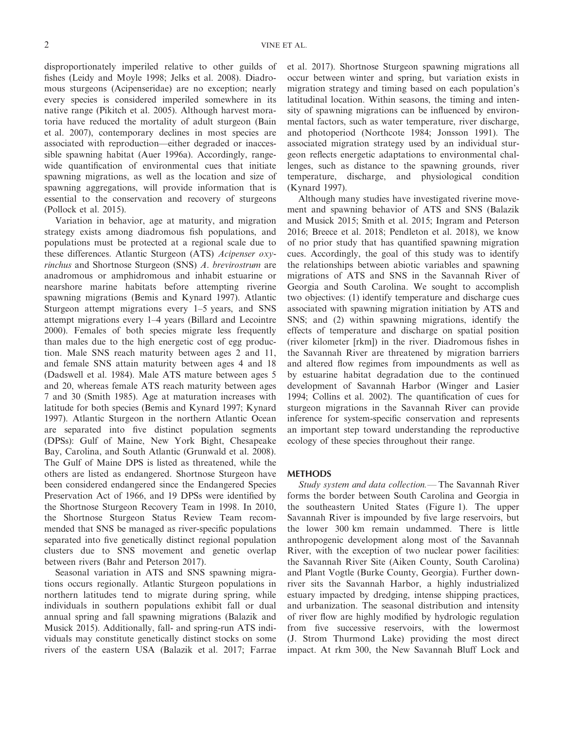disproportionately imperiled relative to other guilds of fishes (Leidy and Moyle 1998; Jelks et al. 2008). Diadromous sturgeons (Acipenseridae) are no exception; nearly every species is considered imperiled somewhere in its native range (Pikitch et al. 2005). Although harvest moratoria have reduced the mortality of adult sturgeon (Bain et al. 2007), contemporary declines in most species are associated with reproduction—either degraded or inaccessible spawning habitat (Auer 1996a). Accordingly, rangewide quantification of environmental cues that initiate spawning migrations, as well as the location and size of spawning aggregations, will provide information that is essential to the conservation and recovery of sturgeons (Pollock et al. 2015).

Variation in behavior, age at maturity, and migration strategy exists among diadromous fish populations, and populations must be protected at a regional scale due to these differences. Atlantic Sturgeon (ATS) *Acipenser oxyrinchus* and Shortnose Sturgeon (SNS) *A*. *brevirostrum* are anadromous or amphidromous and inhabit estuarine or nearshore marine habitats before attempting riverine spawning migrations (Bemis and Kynard 1997). Atlantic Sturgeon attempt migrations every 1–5 years, and SNS attempt migrations every 1–4 years (Billard and Lecointre 2000). Females of both species migrate less frequently than males due to the high energetic cost of egg production. Male SNS reach maturity between ages 2 and 11, and female SNS attain maturity between ages 4 and 18 (Dadswell et al. 1984). Male ATS mature between ages 5 and 20, whereas female ATS reach maturity between ages 7 and 30 (Smith 1985). Age at maturation increases with latitude for both species (Bemis and Kynard 1997; Kynard 1997). Atlantic Sturgeon in the northern Atlantic Ocean are separated into five distinct population segments (DPSs): Gulf of Maine, New York Bight, Chesapeake Bay, Carolina, and South Atlantic (Grunwald et al. 2008). The Gulf of Maine DPS is listed as threatened, while the others are listed as endangered. Shortnose Sturgeon have been considered endangered since the Endangered Species Preservation Act of 1966, and 19 DPSs were identified by the Shortnose Sturgeon Recovery Team in 1998. In 2010, the Shortnose Sturgeon Status Review Team recommended that SNS be managed as river-specific populations separated into five genetically distinct regional population clusters due to SNS movement and genetic overlap between rivers (Bahr and Peterson 2017).

Seasonal variation in ATS and SNS spawning migrations occurs regionally. Atlantic Sturgeon populations in northern latitudes tend to migrate during spring, while individuals in southern populations exhibit fall or dual annual spring and fall spawning migrations (Balazik and Musick 2015). Additionally, fall- and spring-run ATS individuals may constitute genetically distinct stocks on some rivers of the eastern USA (Balazik et al. 2017; Farrae et al. 2017). Shortnose Sturgeon spawning migrations all occur between winter and spring, but variation exists in migration strategy and timing based on each population's latitudinal location. Within seasons, the timing and intensity of spawning migrations can be influenced by environmental factors, such as water temperature, river discharge, and photoperiod (Northcote 1984; Jonsson 1991). The associated migration strategy used by an individual sturgeon reflects energetic adaptations to environmental challenges, such as distance to the spawning grounds, river temperature, discharge, and physiological condition (Kynard 1997).

Although many studies have investigated riverine movement and spawning behavior of ATS and SNS (Balazik and Musick 2015; Smith et al. 2015; Ingram and Peterson 2016; Breece et al. 2018; Pendleton et al. 2018), we know of no prior study that has quantified spawning migration cues. Accordingly, the goal of this study was to identify the relationships between abiotic variables and spawning migrations of ATS and SNS in the Savannah River of Georgia and South Carolina. We sought to accomplish two objectives: (1) identify temperature and discharge cues associated with spawning migration initiation by ATS and SNS; and (2) within spawning migrations, identify the effects of temperature and discharge on spatial position (river kilometer [rkm]) in the river. Diadromous fishes in the Savannah River are threatened by migration barriers and altered flow regimes from impoundments as well as by estuarine habitat degradation due to the continued development of Savannah Harbor (Winger and Lasier 1994; Collins et al. 2002). The quantification of cues for sturgeon migrations in the Savannah River can provide inference for system-specific conservation and represents an important step toward understanding the reproductive ecology of these species throughout their range.

#### **METHODS**

*Study system and data collection.—* The Savannah River forms the border between South Carolina and Georgia in the southeastern United States (Figure 1). The upper Savannah River is impounded by five large reservoirs, but the lower 300 km remain undammed. There is little anthropogenic development along most of the Savannah River, with the exception of two nuclear power facilities: the Savannah River Site (Aiken County, South Carolina) and Plant Vogtle (Burke County, Georgia). Further downriver sits the Savannah Harbor, a highly industrialized estuary impacted by dredging, intense shipping practices, and urbanization. The seasonal distribution and intensity of river flow are highly modified by hydrologic regulation from five successive reservoirs, with the lowermost (J. Strom Thurmond Lake) providing the most direct impact. At rkm 300, the New Savannah Bluff Lock and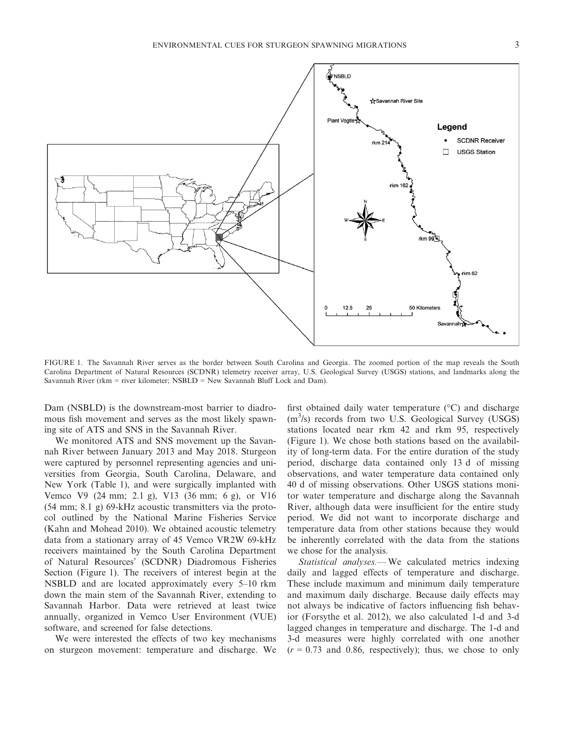

FIGURE 1. The Savannah River serves as the border between South Carolina and Georgia. The zoomed portion of the map reveals the South Carolina Department of Natural Resources (SCDNR) telemetry receiver array, U.S. Geological Survey (USGS) stations, and landmarks along the Savannah River (rkm = river kilometer; NSBLD = New Savannah Bluff Lock and Dam).

Dam (NSBLD) is the downstream-most barrier to diadromous fish movement and serves as the most likely spawning site of ATS and SNS in the Savannah River.

We monitored ATS and SNS movement up the Savannah River between January 2013 and May 2018. Sturgeon were captured by personnel representing agencies and universities from Georgia, South Carolina, Delaware, and New York (Table 1), and were surgically implanted with Vemco V9 (24 mm; 2.1 g), V13 (36 mm; 6 g), or V16 (54 mm; 8.1 g) 69-kHz acoustic transmitters via the protocol outlined by the National Marine Fisheries Service (Kahn and Mohead 2010). We obtained acoustic telemetry data from a stationary array of 45 Vemco VR2W 69-kHz receivers maintained by the South Carolina Department of Natural Resources' (SCDNR) Diadromous Fisheries Section (Figure 1). The receivers of interest begin at the NSBLD and are located approximately every 5–10 rkm down the main stem of the Savannah River, extending to Savannah Harbor. Data were retrieved at least twice annually, organized in Vemco User Environment (VUE) software, and screened for false detections.

We were interested the effects of two key mechanisms on sturgeon movement: temperature and discharge. We first obtained daily water temperature  $(°C)$  and discharge (m<sup>3</sup>/s) records from two U.S. Geological Survey (USGS) stations located near rkm 42 and rkm 95, respectively (Figure 1). We chose both stations based on the availability of long-term data. For the entire duration of the study period, discharge data contained only 13 d of missing observations, and water temperature data contained only 40 d of missing observations. Other USGS stations monitor water temperature and discharge along the Savannah River, although data were insufficient for the entire study period. We did not want to incorporate discharge and temperature data from other stations because they would be inherently correlated with the data from the stations we chose for the analysis.

*Statistical analyses.—* We calculated metrics indexing daily and lagged effects of temperature and discharge. These include maximum and minimum daily temperature and maximum daily discharge. Because daily effects may not always be indicative of factors influencing fish behavior (Forsythe et al. 2012), we also calculated 1-d and 3-d lagged changes in temperature and discharge. The 1-d and 3-d measures were highly correlated with one another  $(r = 0.73$  and 0.86, respectively); thus, we chose to only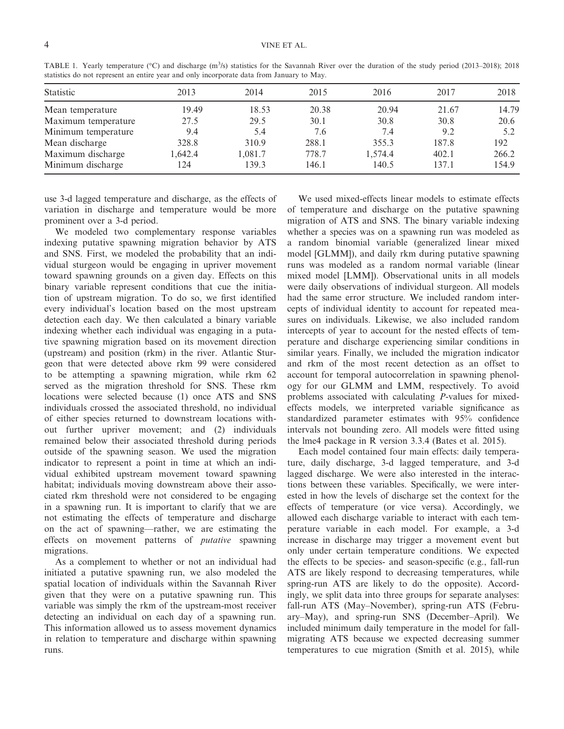| <b>Statistic</b>    | 2013    | 2014    | 2015  | 2016    | 2017  | 2018  |  |  |  |
|---------------------|---------|---------|-------|---------|-------|-------|--|--|--|
| Mean temperature    | 19.49   | 18.53   | 20.38 | 20.94   | 21.67 | 14.79 |  |  |  |
| Maximum temperature | 27.5    | 29.5    | 30.1  | 30.8    | 30.8  | 20.6  |  |  |  |
| Minimum temperature | 9.4     | 5.4     | 7.6   | 7.4     | 9.2   | 5.2   |  |  |  |
| Mean discharge      | 328.8   | 310.9   | 288.1 | 355.3   | 187.8 | 192   |  |  |  |
| Maximum discharge   | 1.642.4 | 1,081.7 | 778.7 | 1.574.4 | 402.1 | 266.2 |  |  |  |
| Minimum discharge   | 124     | 139.3   | 146.1 | 140.5   | 137.1 | 154.9 |  |  |  |

TABLE 1. Yearly temperature (°C) and discharge (m<sup>3</sup>/s) statistics for the Savannah River over the duration of the study period (2013–2018); 2018 statistics do not represent an entire year and only incorporate data from January to May.

use 3-d lagged temperature and discharge, as the effects of variation in discharge and temperature would be more prominent over a 3-d period.

We modeled two complementary response variables indexing putative spawning migration behavior by ATS and SNS. First, we modeled the probability that an individual sturgeon would be engaging in upriver movement toward spawning grounds on a given day. Effects on this binary variable represent conditions that cue the initiation of upstream migration. To do so, we first identified every individual's location based on the most upstream detection each day. We then calculated a binary variable indexing whether each individual was engaging in a putative spawning migration based on its movement direction (upstream) and position (rkm) in the river. Atlantic Sturgeon that were detected above rkm 99 were considered to be attempting a spawning migration, while rkm 62 served as the migration threshold for SNS. These rkm locations were selected because (1) once ATS and SNS individuals crossed the associated threshold, no individual of either species returned to downstream locations without further upriver movement; and (2) individuals remained below their associated threshold during periods outside of the spawning season. We used the migration indicator to represent a point in time at which an individual exhibited upstream movement toward spawning habitat; individuals moving downstream above their associated rkm threshold were not considered to be engaging in a spawning run. It is important to clarify that we are not estimating the effects of temperature and discharge on the act of spawning—rather, we are estimating the effects on movement patterns of *putative* spawning migrations.

As a complement to whether or not an individual had initiated a putative spawning run, we also modeled the spatial location of individuals within the Savannah River given that they were on a putative spawning run. This variable was simply the rkm of the upstream-most receiver detecting an individual on each day of a spawning run. This information allowed us to assess movement dynamics in relation to temperature and discharge within spawning runs.

We used mixed-effects linear models to estimate effects of temperature and discharge on the putative spawning migration of ATS and SNS. The binary variable indexing whether a species was on a spawning run was modeled as a random binomial variable (generalized linear mixed model [GLMM]), and daily rkm during putative spawning runs was modeled as a random normal variable (linear mixed model [LMM]). Observational units in all models were daily observations of individual sturgeon. All models had the same error structure. We included random intercepts of individual identity to account for repeated measures on individuals. Likewise, we also included random intercepts of year to account for the nested effects of temperature and discharge experiencing similar conditions in similar years. Finally, we included the migration indicator and rkm of the most recent detection as an offset to account for temporal autocorrelation in spawning phenology for our GLMM and LMM, respectively. To avoid problems associated with calculating *P*-values for mixedeffects models, we interpreted variable significance as standardized parameter estimates with 95% confidence intervals not bounding zero. All models were fitted using the lme4 package in R version 3.3.4 (Bates et al. 2015).

Each model contained four main effects: daily temperature, daily discharge, 3-d lagged temperature, and 3-d lagged discharge. We were also interested in the interactions between these variables. Specifically, we were interested in how the levels of discharge set the context for the effects of temperature (or vice versa). Accordingly, we allowed each discharge variable to interact with each temperature variable in each model. For example, a 3-d increase in discharge may trigger a movement event but only under certain temperature conditions. We expected the effects to be species- and season-specific (e.g., fall-run ATS are likely respond to decreasing temperatures, while spring-run ATS are likely to do the opposite). Accordingly, we split data into three groups for separate analyses: fall-run ATS (May–November), spring-run ATS (February–May), and spring-run SNS (December–April). We included minimum daily temperature in the model for fallmigrating ATS because we expected decreasing summer temperatures to cue migration (Smith et al. 2015), while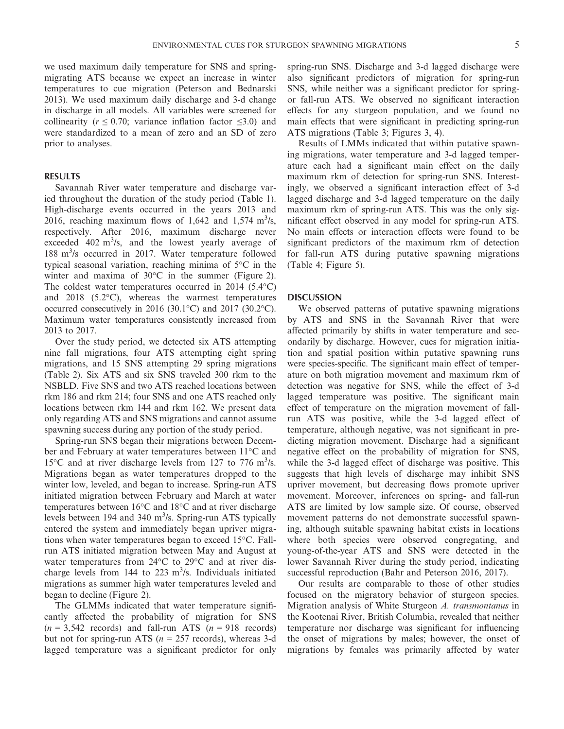we used maximum daily temperature for SNS and springmigrating ATS because we expect an increase in winter temperatures to cue migration (Peterson and Bednarski 2013). We used maximum daily discharge and 3-d change in discharge in all models. All variables were screened for collinearity ( $r \leq 0.70$ ; variance inflation factor  $\leq 3.0$ ) and were standardized to a mean of zero and an SD of zero prior to analyses.

#### **RESULTS**

Savannah River water temperature and discharge varied throughout the duration of the study period (Table 1). High-discharge events occurred in the years 2013 and 2016, reaching maximum flows of 1,642 and 1,574  $\text{m}^3$ /s, respectively. After 2016, maximum discharge never exceeded  $402 \text{ m}^3$ /s, and the lowest yearly average of 188 m<sup>3</sup>/s occurred in 2017. Water temperature followed typical seasonal variation, reaching minima of 5°C in the winter and maxima of 30°C in the summer (Figure 2). The coldest water temperatures occurred in 2014 (5.4°C) and 2018 (5.2°C), whereas the warmest temperatures occurred consecutively in 2016 (30.1°C) and 2017 (30.2°C). Maximum water temperatures consistently increased from 2013 to 2017.

Over the study period, we detected six ATS attempting nine fall migrations, four ATS attempting eight spring migrations, and 15 SNS attempting 29 spring migrations (Table 2). Six ATS and six SNS traveled 300 rkm to the NSBLD. Five SNS and two ATS reached locations between rkm 186 and rkm 214; four SNS and one ATS reached only locations between rkm 144 and rkm 162. We present data only regarding ATS and SNS migrations and cannot assume spawning success during any portion of the study period.

Spring-run SNS began their migrations between December and February at water temperatures between 11°C and 15 $\rm{^{\circ}C}$  and at river discharge levels from 127 to 776 m<sup>3</sup>/s. Migrations began as water temperatures dropped to the winter low, leveled, and began to increase. Spring-run ATS initiated migration between February and March at water temperatures between 16°C and 18°C and at river discharge levels between 194 and 340 m<sup>3</sup>/s. Spring-run ATS typically entered the system and immediately began upriver migrations when water temperatures began to exceed 15°C. Fallrun ATS initiated migration between May and August at water temperatures from 24°C to 29°C and at river discharge levels from  $144$  to  $223 \text{ m}^3$ /s. Individuals initiated migrations as summer high water temperatures leveled and began to decline (Figure 2).

The GLMMs indicated that water temperature significantly affected the probability of migration for SNS  $(n = 3,542$  records) and fall-run ATS  $(n = 918$  records) but not for spring-run ATS ( $n = 257$  records), whereas 3-d lagged temperature was a significant predictor for only spring-run SNS. Discharge and 3-d lagged discharge were also significant predictors of migration for spring-run SNS, while neither was a significant predictor for springor fall-run ATS. We observed no significant interaction effects for any sturgeon population, and we found no main effects that were significant in predicting spring-run ATS migrations (Table 3; Figures 3, 4).

Results of LMMs indicated that within putative spawning migrations, water temperature and 3-d lagged temperature each had a significant main effect on the daily maximum rkm of detection for spring-run SNS. Interestingly, we observed a significant interaction effect of 3-d lagged discharge and 3-d lagged temperature on the daily maximum rkm of spring-run ATS. This was the only significant effect observed in any model for spring-run ATS. No main effects or interaction effects were found to be significant predictors of the maximum rkm of detection for fall-run ATS during putative spawning migrations (Table 4; Figure 5).

#### **DISCUSSION**

We observed patterns of putative spawning migrations by ATS and SNS in the Savannah River that were affected primarily by shifts in water temperature and secondarily by discharge. However, cues for migration initiation and spatial position within putative spawning runs were species-specific. The significant main effect of temperature on both migration movement and maximum rkm of detection was negative for SNS, while the effect of 3-d lagged temperature was positive. The significant main effect of temperature on the migration movement of fallrun ATS was positive, while the 3-d lagged effect of temperature, although negative, was not significant in predicting migration movement. Discharge had a significant negative effect on the probability of migration for SNS, while the 3-d lagged effect of discharge was positive. This suggests that high levels of discharge may inhibit SNS upriver movement, but decreasing flows promote upriver movement. Moreover, inferences on spring- and fall-run ATS are limited by low sample size. Of course, observed movement patterns do not demonstrate successful spawning, although suitable spawning habitat exists in locations where both species were observed congregating, and young-of-the-year ATS and SNS were detected in the lower Savannah River during the study period, indicating successful reproduction (Bahr and Peterson 2016, 2017).

Our results are comparable to those of other studies focused on the migratory behavior of sturgeon species. Migration analysis of White Sturgeon *A. transmontanus* in the Kootenai River, British Columbia, revealed that neither temperature nor discharge was significant for influencing the onset of migrations by males; however, the onset of migrations by females was primarily affected by water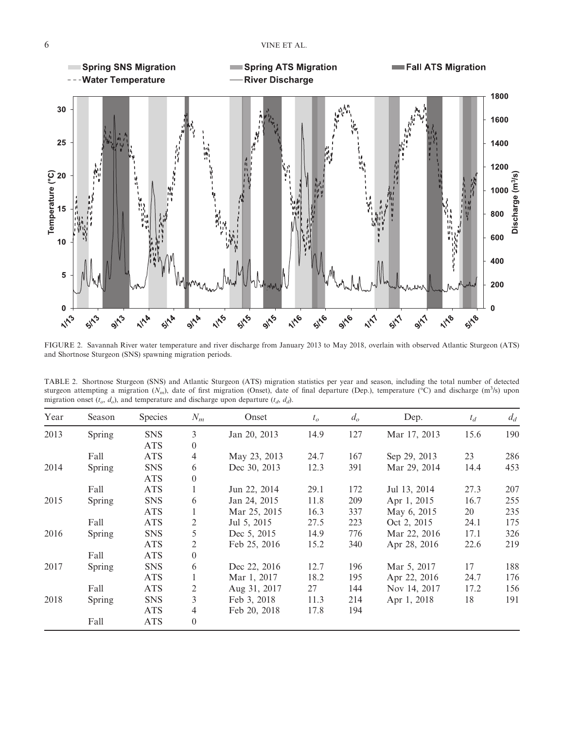

FIGURE 2. Savannah River water temperature and river discharge from January 2013 to May 2018, overlain with observed Atlantic Sturgeon (ATS) and Shortnose Sturgeon (SNS) spawning migration periods.

| TABLE 2. Shortnose Sturgeon (SNS) and Atlantic Sturgeon (ATS) migration statistics per year and season, including the total number of detected                     |  |  |  |  |  |  |  |  |
|--------------------------------------------------------------------------------------------------------------------------------------------------------------------|--|--|--|--|--|--|--|--|
| sturgeon attempting a migration $(N_m)$ , date of first migration (Onset), date of final departure (Dep.), temperature (°C) and discharge (m <sup>3</sup> /s) upon |  |  |  |  |  |  |  |  |
| migration onset $(t_o, d_o)$ , and temperature and discharge upon departure $(t_d, d_d)$ .                                                                         |  |  |  |  |  |  |  |  |

| Year | Season | <b>Species</b> | $N_m$          | Onset        | $t_o$ | $d_o$ | Dep.         | $t_d$ | $d_d$ |
|------|--------|----------------|----------------|--------------|-------|-------|--------------|-------|-------|
| 2013 | Spring | <b>SNS</b>     | 3              | Jan 20, 2013 | 14.9  | 127   | Mar 17, 2013 | 15.6  | 190   |
|      |        | <b>ATS</b>     | $\theta$       |              |       |       |              |       |       |
|      | Fall   | <b>ATS</b>     | $\overline{4}$ | May 23, 2013 | 24.7  | 167   | Sep 29, 2013 | 23    | 286   |
| 2014 | Spring | <b>SNS</b>     | 6              | Dec 30, 2013 | 12.3  | 391   | Mar 29, 2014 | 14.4  | 453   |
|      |        | <b>ATS</b>     | $\theta$       |              |       |       |              |       |       |
|      | Fall   | <b>ATS</b>     |                | Jun 22, 2014 | 29.1  | 172   | Jul 13, 2014 | 27.3  | 207   |
| 2015 | Spring | <b>SNS</b>     | 6              | Jan 24, 2015 | 11.8  | 209   | Apr 1, 2015  | 16.7  | 255   |
|      |        | <b>ATS</b>     |                | Mar 25, 2015 | 16.3  | 337   | May 6, 2015  | 20    | 235   |
|      | Fall   | <b>ATS</b>     | 2              | Jul 5, 2015  | 27.5  | 223   | Oct 2, 2015  | 24.1  | 175   |
| 2016 | Spring | <b>SNS</b>     | 5              | Dec 5, 2015  | 14.9  | 776   | Mar 22, 2016 | 17.1  | 326   |
|      |        | <b>ATS</b>     | 2              | Feb 25, 2016 | 15.2  | 340   | Apr 28, 2016 | 22.6  | 219   |
|      | Fall   | <b>ATS</b>     | $\theta$       |              |       |       |              |       |       |
| 2017 | Spring | <b>SNS</b>     | 6              | Dec 22, 2016 | 12.7  | 196   | Mar 5, 2017  | 17    | 188   |
|      |        | <b>ATS</b>     |                | Mar 1, 2017  | 18.2  | 195   | Apr 22, 2016 | 24.7  | 176   |
|      | Fall   | <b>ATS</b>     | 2              | Aug 31, 2017 | 27    | 144   | Nov 14, 2017 | 17.2  | 156   |
| 2018 | Spring | <b>SNS</b>     | 3              | Feb 3, 2018  | 11.3  | 214   | Apr 1, 2018  | 18    | 191   |
|      |        | <b>ATS</b>     | 4              | Feb 20, 2018 | 17.8  | 194   |              |       |       |
|      | Fall   | <b>ATS</b>     | $\overline{0}$ |              |       |       |              |       |       |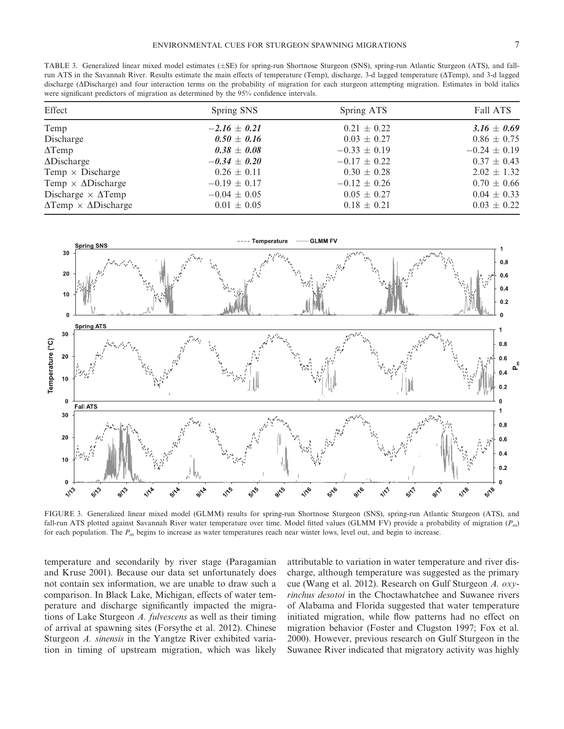TABLE 3. Generalized linear mixed model estimates  $(\pm SE)$  for spring-run Shortnose Sturgeon (SNS), spring-run Atlantic Sturgeon (ATS), and fallrun ATS in the Savannah River. Results estimate the main effects of temperature (Temp), discharge, 3-d lagged temperature (ΔTemp), and 3-d lagged discharge (ADischarge) and four interaction terms on the probability of migration for each sturgeon attempting migration. Estimates in bold italics were significant predictors of migration as determined by the 95% confidence intervals.

| Effect                                    | Spring SNS       | Spring ATS       | <b>Fall ATS</b>  |
|-------------------------------------------|------------------|------------------|------------------|
| Temp                                      | $-2.16 \pm 0.21$ | $0.21 \pm 0.22$  | $3.16 \pm 0.69$  |
| Discharge                                 | $0.50 \pm 0.16$  | $0.03 \pm 0.27$  | $0.86 \pm 0.75$  |
| $\Delta$ Temp                             | $0.38 \pm 0.08$  | $-0.33 \pm 0.19$ | $-0.24 \pm 0.19$ |
| $\Delta$ Discharge                        | $-0.34 \pm 0.20$ | $-0.17 \pm 0.22$ | $0.37 \pm 0.43$  |
| Temp $\times$ Discharge                   | $0.26 \pm 0.11$  | $0.30 \pm 0.28$  | $2.02 \pm 1.32$  |
| Temp $\times$ $\Delta$ Discharge          | $-0.19 \pm 0.17$ | $-0.12 \pm 0.26$ | $0.70 \pm 0.66$  |
| Discharge $\times$ $\Delta$ Temp          | $-0.04 \pm 0.05$ | $0.05 \pm 0.27$  | $0.04 \pm 0.33$  |
| $\Delta$ Temp $\times$ $\Delta$ Discharge | $0.01 \pm 0.05$  | $0.18 \pm 0.21$  | $0.03 \pm 0.22$  |



FIGURE 3. Generalized linear mixed model (GLMM) results for spring-run Shortnose Sturgeon (SNS), spring-run Atlantic Sturgeon (ATS), and fall-run ATS plotted against Savannah River water temperature over time. Model fitted values (GLMM FV) provide a probability of migration (*Pm*) for each population. The *Pm* begins to increase as water temperatures reach near winter lows, level out, and begin to increase.

temperature and secondarily by river stage (Paragamian and Kruse 2001). Because our data set unfortunately does not contain sex information, we are unable to draw such a comparison. In Black Lake, Michigan, effects of water temperature and discharge significantly impacted the migrations of Lake Sturgeon *A. fulvescens* as well as their timing of arrival at spawning sites (Forsythe et al. 2012). Chinese Sturgeon *A. sinensis* in the Yangtze River exhibited variation in timing of upstream migration, which was likely

attributable to variation in water temperature and river discharge, although temperature was suggested as the primary cue (Wang et al. 2012). Research on Gulf Sturgeon *A. oxyrinchus desotoi* in the Choctawhatchee and Suwanee rivers of Alabama and Florida suggested that water temperature initiated migration, while flow patterns had no effect on migration behavior (Foster and Clugston 1997; Fox et al. 2000). However, previous research on Gulf Sturgeon in the Suwanee River indicated that migratory activity was highly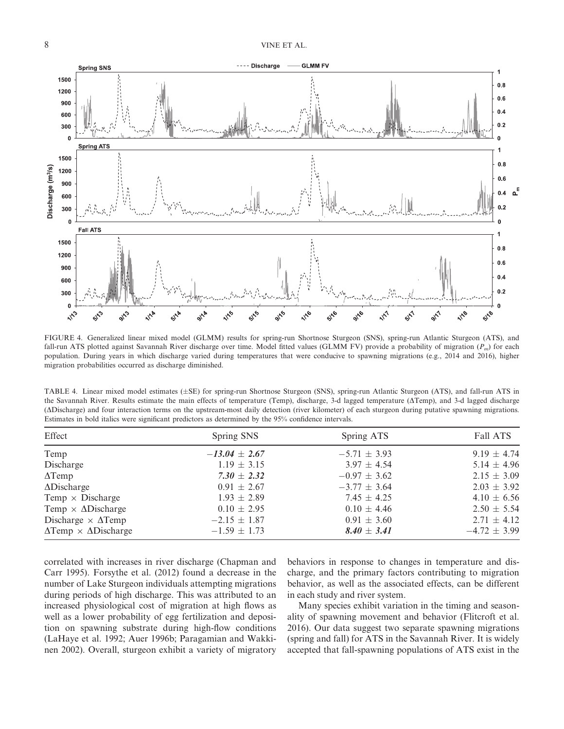

FIGURE 4. Generalized linear mixed model (GLMM) results for spring-run Shortnose Sturgeon (SNS), spring-run Atlantic Sturgeon (ATS), and fall-run ATS plotted against Savannah River discharge over time. Model fitted values (GLMM FV) provide a probability of migration (*Pm*) for each population. During years in which discharge varied during temperatures that were conducive to spawning migrations (e.g., 2014 and 2016), higher migration probabilities occurred as discharge diminished.

TABLE 4. Linear mixed model estimates ( $\pm$ SE) for spring-run Shortnose Sturgeon (SNS), spring-run Atlantic Sturgeon (ATS), and fall-run ATS in the Savannah River. Results estimate the main effects of temperature (Temp), discharge, 3-d lagged temperature ( $\triangle$ Temp), and 3-d lagged discharge (DDischarge) and four interaction terms on the upstream-most daily detection (river kilometer) of each sturgeon during putative spawning migrations. Estimates in bold italics were significant predictors as determined by the 95% confidence intervals.

| Effect                                    | Spring SNS        | Spring ATS       | <b>Fall ATS</b>  |
|-------------------------------------------|-------------------|------------------|------------------|
| Temp                                      | $-13.04 \pm 2.67$ | $-5.71 \pm 3.93$ | $9.19 \pm 4.74$  |
| Discharge                                 | $1.19 \pm 3.15$   | $3.97 \pm 4.54$  | 5.14 $\pm$ 4.96  |
| $\Delta$ Temp                             | $7.30 \pm 2.32$   | $-0.97 \pm 3.62$ | $2.15 \pm 3.09$  |
| $\Delta$ Discharge                        | $0.91 \pm 2.67$   | $-3.77 \pm 3.64$ | $2.03 \pm 3.92$  |
| Temp $\times$ Discharge                   | $1.93 \pm 2.89$   | $7.45 \pm 4.25$  | $4.10 \pm 6.56$  |
| Temp $\times$ $\Delta$ Discharge          | $0.10 \pm 2.95$   | $0.10 \pm 4.46$  | $2.50 \pm 5.54$  |
| Discharge $\times$ $\Delta$ Temp          | $-2.15 \pm 1.87$  | $0.91 \pm 3.60$  | $2.71 \pm 4.12$  |
| $\Delta$ Temp $\times$ $\Delta$ Discharge | $-1.59 \pm 1.73$  | $8.40 \pm 3.41$  | $-4.72 \pm 3.99$ |

correlated with increases in river discharge (Chapman and Carr 1995). Forsythe et al. (2012) found a decrease in the number of Lake Sturgeon individuals attempting migrations during periods of high discharge. This was attributed to an increased physiological cost of migration at high flows as well as a lower probability of egg fertilization and deposition on spawning substrate during high-flow conditions (LaHaye et al. 1992; Auer 1996b; Paragamian and Wakkinen 2002). Overall, sturgeon exhibit a variety of migratory

behaviors in response to changes in temperature and discharge, and the primary factors contributing to migration behavior, as well as the associated effects, can be different in each study and river system.

Many species exhibit variation in the timing and seasonality of spawning movement and behavior (Flitcroft et al. 2016). Our data suggest two separate spawning migrations (spring and fall) for ATS in the Savannah River. It is widely accepted that fall-spawning populations of ATS exist in the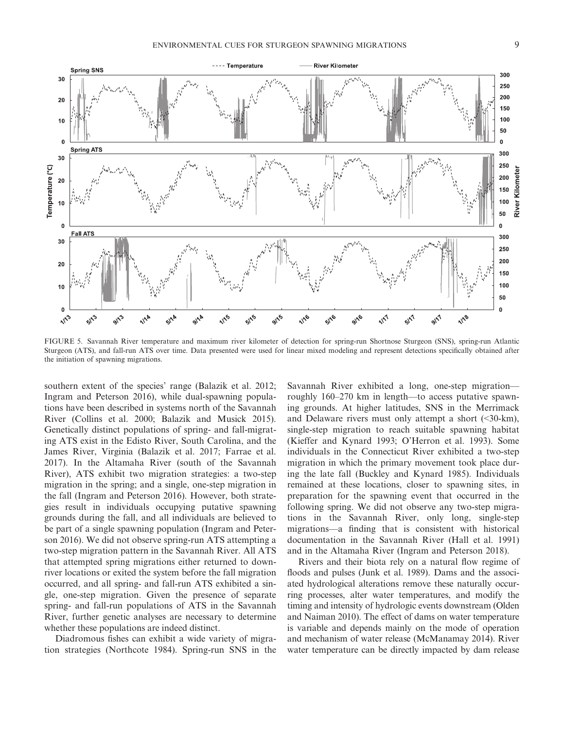![](_page_8_Figure_2.jpeg)

FIGURE 5. Savannah River temperature and maximum river kilometer of detection for spring-run Shortnose Sturgeon (SNS), spring-run Atlantic Sturgeon (ATS), and fall-run ATS over time. Data presented were used for linear mixed modeling and represent detections specifically obtained after the initiation of spawning migrations.

southern extent of the species' range (Balazik et al. 2012; Ingram and Peterson 2016), while dual-spawning populations have been described in systems north of the Savannah River (Collins et al. 2000; Balazik and Musick 2015). Genetically distinct populations of spring- and fall-migrating ATS exist in the Edisto River, South Carolina, and the James River, Virginia (Balazik et al. 2017; Farrae et al. 2017). In the Altamaha River (south of the Savannah River), ATS exhibit two migration strategies: a two-step migration in the spring; and a single, one-step migration in the fall (Ingram and Peterson 2016). However, both strategies result in individuals occupying putative spawning grounds during the fall, and all individuals are believed to be part of a single spawning population (Ingram and Peterson 2016). We did not observe spring-run ATS attempting a two-step migration pattern in the Savannah River. All ATS that attempted spring migrations either returned to downriver locations or exited the system before the fall migration occurred, and all spring- and fall-run ATS exhibited a single, one-step migration. Given the presence of separate spring- and fall-run populations of ATS in the Savannah River, further genetic analyses are necessary to determine whether these populations are indeed distinct.

Diadromous fishes can exhibit a wide variety of migration strategies (Northcote 1984). Spring-run SNS in the Savannah River exhibited a long, one-step migration roughly 160–270 km in length—to access putative spawning grounds. At higher latitudes, SNS in the Merrimack and Delaware rivers must only attempt a short  $(\leq 30 \text{-} \text{km})$ , single-step migration to reach suitable spawning habitat (Kieffer and Kynard 1993; O'Herron et al. 1993). Some individuals in the Connecticut River exhibited a two-step migration in which the primary movement took place during the late fall (Buckley and Kynard 1985). Individuals remained at these locations, closer to spawning sites, in preparation for the spawning event that occurred in the following spring. We did not observe any two-step migrations in the Savannah River, only long, single-step migrations—a finding that is consistent with historical documentation in the Savannah River (Hall et al. 1991) and in the Altamaha River (Ingram and Peterson 2018).

Rivers and their biota rely on a natural flow regime of floods and pulses (Junk et al. 1989). Dams and the associated hydrological alterations remove these naturally occurring processes, alter water temperatures, and modify the timing and intensity of hydrologic events downstream (Olden and Naiman 2010). The effect of dams on water temperature is variable and depends mainly on the mode of operation and mechanism of water release (McManamay 2014). River water temperature can be directly impacted by dam release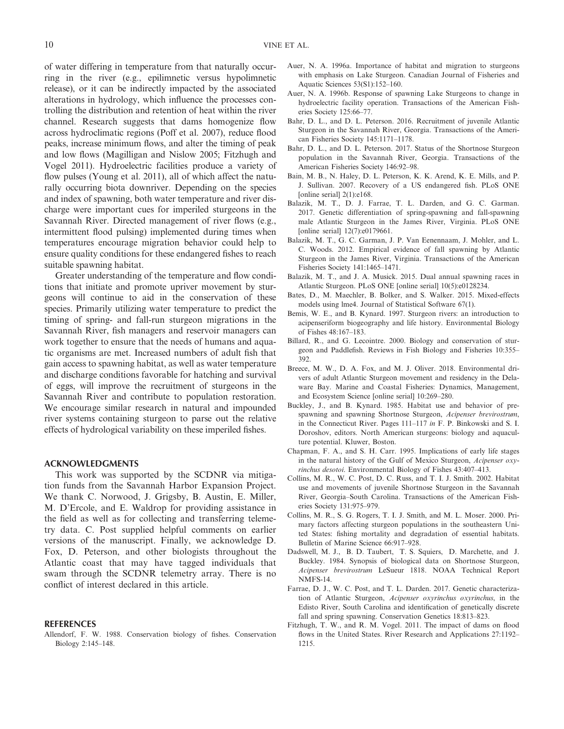of water differing in temperature from that naturally occurring in the river (e.g., epilimnetic versus hypolimnetic release), or it can be indirectly impacted by the associated alterations in hydrology, which influence the processes controlling the distribution and retention of heat within the river channel. Research suggests that dams homogenize flow across hydroclimatic regions (Poff et al. 2007), reduce flood peaks, increase minimum flows, and alter the timing of peak and low flows (Magilligan and Nislow 2005; Fitzhugh and Vogel 2011). Hydroelectric facilities produce a variety of flow pulses (Young et al. 2011), all of which affect the naturally occurring biota downriver. Depending on the species and index of spawning, both water temperature and river discharge were important cues for imperiled sturgeons in the Savannah River. Directed management of river flows (e.g., intermittent flood pulsing) implemented during times when temperatures encourage migration behavior could help to ensure quality conditions for these endangered fishes to reach suitable spawning habitat.

Greater understanding of the temperature and flow conditions that initiate and promote upriver movement by sturgeons will continue to aid in the conservation of these species. Primarily utilizing water temperature to predict the timing of spring- and fall-run sturgeon migrations in the Savannah River, fish managers and reservoir managers can work together to ensure that the needs of humans and aquatic organisms are met. Increased numbers of adult fish that gain access to spawning habitat, as well as water temperature and discharge conditions favorable for hatching and survival of eggs, will improve the recruitment of sturgeons in the Savannah River and contribute to population restoration. We encourage similar research in natural and impounded river systems containing sturgeon to parse out the relative effects of hydrological variability on these imperiled fishes.

#### **ACKNOWLEDGMENTS**

This work was supported by the SCDNR via mitigation funds from the Savannah Harbor Expansion Project. We thank C. Norwood, J. Grigsby, B. Austin, E. Miller, M. D'Ercole, and E. Waldrop for providing assistance in the field as well as for collecting and transferring telemetry data. C. Post supplied helpful comments on earlier versions of the manuscript. Finally, we acknowledge D. Fox, D. Peterson, and other biologists throughout the Atlantic coast that may have tagged individuals that swam through the SCDNR telemetry array. There is no conflict of interest declared in this article.

#### **REFERENCES**

Allendorf, F. W. 1988. Conservation biology of fishes. Conservation Biology 2:145–148.

- Auer, N. A. 1996a. Importance of habitat and migration to sturgeons with emphasis on Lake Sturgeon. Canadian Journal of Fisheries and Aquatic Sciences 53(S1):152–160.
- Auer, N. A. 1996b. Response of spawning Lake Sturgeons to change in hydroelectric facility operation. Transactions of the American Fisheries Society 125:66–77.
- Bahr, D. L., and D. L. Peterson. 2016. Recruitment of juvenile Atlantic Sturgeon in the Savannah River, Georgia. Transactions of the American Fisheries Society 145:1171–1178.
- Bahr, D. L., and D. L. Peterson. 2017. Status of the Shortnose Sturgeon population in the Savannah River, Georgia. Transactions of the American Fisheries Society 146:92–98.
- Bain, M. B., N. Haley, D. L. Peterson, K. K. Arend, K. E. Mills, and P. J. Sullivan. 2007. Recovery of a US endangered fish. PLoS ONE [online serial] 2(1):e168.
- Balazik, M. T., D. J. Farrae, T. L. Darden, and G. C. Garman. 2017. Genetic differentiation of spring-spawning and fall-spawning male Atlantic Sturgeon in the James River, Virginia. PLoS ONE [online serial] 12(7):e0179661.
- Balazik, M. T., G. C. Garman, J. P. Van Eenennaam, J. Mohler, and L. C. Woods. 2012. Empirical evidence of fall spawning by Atlantic Sturgeon in the James River, Virginia. Transactions of the American Fisheries Society 141:1465–1471.
- Balazik, M. T., and J. A. Musick. 2015. Dual annual spawning races in Atlantic Sturgeon. PLoS ONE [online serial] 10(5):e0128234.
- Bates, D., M. Maechler, B. Bolker, and S. Walker. 2015. Mixed-effects models using lme4. Journal of Statistical Software 67(1).
- Bemis, W. E., and B. Kynard. 1997. Sturgeon rivers: an introduction to acipenseriform biogeography and life history. Environmental Biology of Fishes 48:167–183.
- Billard, R., and G. Lecointre. 2000. Biology and conservation of sturgeon and Paddlefish. Reviews in Fish Biology and Fisheries 10:355– 392.
- Breece, M. W., D. A. Fox, and M. J. Oliver. 2018. Environmental drivers of adult Atlantic Sturgeon movement and residency in the Delaware Bay. Marine and Coastal Fisheries: Dynamics, Management, and Ecosystem Science [online serial] 10:269–280.
- Buckley, J., and B. Kynard. 1985. Habitat use and behavior of prespawning and spawning Shortnose Sturgeon, *Acipenser brevirostrum*, in the Connecticut River. Pages 111–117 *in* F. P. Binkowski and S. I. Doroshov, editors. North American sturgeons: biology and aquaculture potential. Kluwer, Boston.
- Chapman, F. A., and S. H. Carr. 1995. Implications of early life stages in the natural history of the Gulf of Mexico Sturgeon, *Acipenser oxyrinchus desotoi*. Environmental Biology of Fishes 43:407–413.
- Collins, M. R., W. C. Post, D. C. Russ, and T. I. J. Smith. 2002. Habitat use and movements of juvenile Shortnose Sturgeon in the Savannah River, Georgia–South Carolina. Transactions of the American Fisheries Society 131:975–979.
- Collins, M. R., S. G. Rogers, T. I. J. Smith, and M. L. Moser. 2000. Primary factors affecting sturgeon populations in the southeastern United States: fishing mortality and degradation of essential habitats. Bulletin of Marine Science 66:917–928.
- Dadswell, M. J., B. D. Taubert, T. S. Squiers, D. Marchette, and J. Buckley. 1984. Synopsis of biological data on Shortnose Sturgeon, *Acipenser brevirostrum* LeSueur 1818. NOAA Technical Report NMFS-14.
- Farrae, D. J., W. C. Post, and T. L. Darden. 2017. Genetic characterization of Atlantic Sturgeon, *Acipenser oxyrinchus oxyrinchus*, in the Edisto River, South Carolina and identification of genetically discrete fall and spring spawning. Conservation Genetics 18:813–823.
- Fitzhugh, T. W., and R. M. Vogel. 2011. The impact of dams on flood flows in the United States. River Research and Applications 27:1192– 1215.